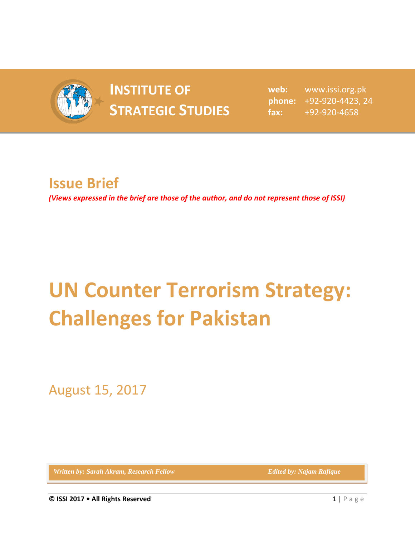

## **INSTITUTE OF INSTITUTE OF** web:<br> **STRATEGIC STUDIES**  $_{\text{fax:}}^{\text{phone:}}$

**web:** www.issi.org.pk **phone:** +92-920-4423, 24 **fax:** +92-920-4658

## **Issue Brief**

*(Views expressed in the brief are those of the author, and do not represent those of ISSI)*

## **UN Counter Terrorism Strategy: Challenges for Pakistan**

August 15, 2017

*Written by: Sarah Akram, Research Fellow Edited by: Najam Rafique*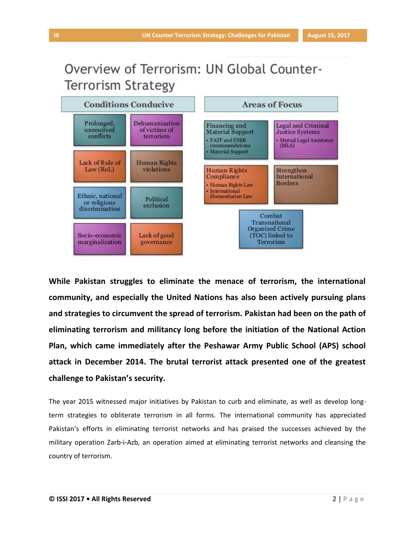## Overview of Terrorism: UN Global Counter-**Terrorism Strategy**



**While Pakistan struggles to eliminate the menace of terrorism, the international community, and especially the United Nations has also been actively pursuing plans and strategies to circumvent the spread of terrorism. Pakistan had been on the path of eliminating terrorism and militancy long before the initiation of the National Action Plan, which came immediately after the Peshawar Army Public School (APS) school attack in December 2014. The brutal terrorist attack presented one of the greatest challenge to Pakistan's security.**

The year 2015 witnessed major initiatives by Pakistan to curb and eliminate, as well as develop longterm strategies to obliterate terrorism in all forms. The international community has appreciated Pakistan's efforts in eliminating terrorist networks and has praised the successes achieved by the military operation Zarb-i-Azb, an operation aimed at eliminating terrorist networks and cleansing the country of terrorism.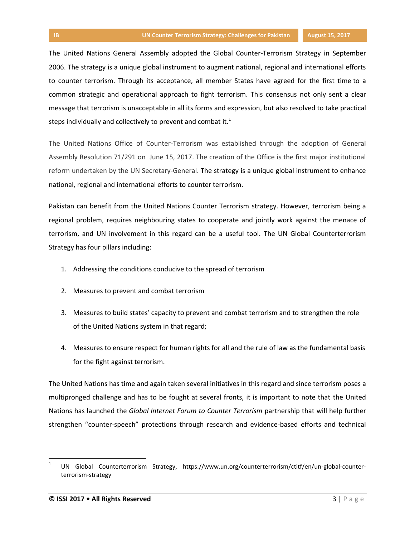The United Nations General Assembly adopted the Global Counter-Terrorism Strategy in September 2006. The strategy is a unique global instrument to augment national, regional and international efforts to counter terrorism. Through its acceptance, all member States have agreed for the first time to a common strategic and operational approach to fight terrorism. This consensus not only sent a clear message that terrorism is unacceptable in all its forms and expression, but also resolved to take practical steps individually and collectively to prevent and combat it.<sup>1</sup>

The United Nations Office of Counter-Terrorism was established through the adoption of General Assembly Resolution 71/291 on June 15, 2017. The creation of the Office is the first major institutional reform undertaken by the UN Secretary-General. The strategy is a unique global instrument to enhance national, regional and international efforts to counter terrorism.

Pakistan can benefit from the United Nations Counter Terrorism strategy. However, terrorism being a regional problem, requires neighbouring states to cooperate and jointly work against the menace of terrorism, and UN involvement in this regard can be a useful tool. The UN Global Counterterrorism Strategy has four pillars including:

- 1. Addressing the conditions conducive to the spread of terrorism
- 2. Measures to prevent and combat terrorism
- 3. Measures to build states' capacity to prevent and combat terrorism and to strengthen the role of the United Nations system in that regard;
- 4. Measures to ensure respect for human rights for all and the rule of law as the fundamental basis for the fight against terrorism.

The United Nations has time and again taken several initiatives in this regard and since terrorism poses a multipronged challenge and has to be fought at several fronts, it is important to note that the United Nations has launched the *Global Internet Forum to Counter Terrorism* partnership that will help further strengthen "counter-speech" protections through research and evidence-based efforts and technical

 $\overline{\phantom{a}}$ 

<sup>1</sup> UN Global Counterterrorism Strategy, https://www.un.org/counterterrorism/ctitf/en/un-global-counterterrorism-strategy